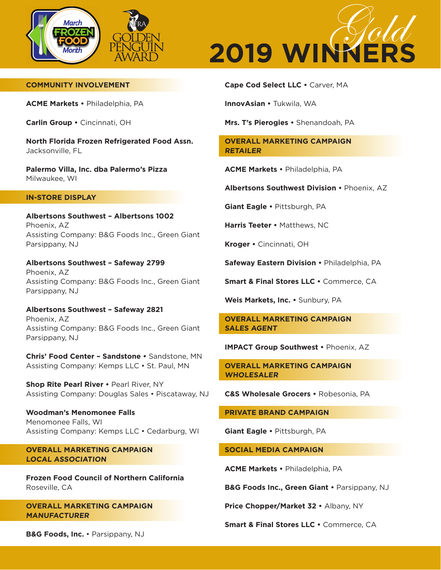



## **COMMUNITY INVOLVEMENT**

**ACME Markets •** Philadelphia, PA

**Carlin Group •** Cincinnati, OH

**North Florida Frozen Refrigerated Food Assn.** Jacksonville, FL

**Palermo Villa, Inc. dba Palermo's Pizza**  Milwaukee, WI

#### **IN-STORE DISPLAY**

**Albertsons Southwest – Albertsons 1002**  Phoenix, AZ Assisting Company: B&G Foods Inc., Green Giant Parsippany, NJ

**Albertsons Southwest – Safeway 2799** Phoenix, AZ Assisting Company: B&G Foods Inc., Green Giant Parsippany, NJ

**Albertsons Southwest – Safeway 2821** Phoenix, AZ Assisting Company: B&G Foods Inc., Green Giant Parsippany, NJ

**Chris' Food Center – Sandstone •** Sandstone, MN Assisting Company: Kemps LLC • St. Paul, MN

**Shop Rite Pearl River •** Pearl River, NY Assisting Company: Douglas Sales • Piscataway, NJ

**Woodman's Menomonee Falls**  Menomonee Falls, WI Assisting Company: Kemps LLC • Cedarburg, WI

**OVERALL MARKETING CAMPAIGN LOCAL ASSOCIATION**

**Frozen Food Council of Northern California** Roseville, CA

**OVERALL MARKETING CAMPAIGN MANUFACTURER**

**Cape Cod Select LLC •** Carver, MA

**InnovAsian •** Tukwila, WA

**Mrs. T's Pierogies •** Shenandoah, PA

**OVERALL MARKETING CAMPAIGN RETAILER**

**ACME Markets •** Philadelphia, PA

**Albertsons Southwest Division •** Phoenix, AZ

**Giant Eagle •** Pittsburgh, PA

**Harris Teeter •** Matthews, NC

**Kroger •** Cincinnati, OH

**Safeway Eastern Division •** Philadelphia, PA

**Smart & Final Stores LLC •** Commerce, CA

**Weis Markets, Inc. •** Sunbury, PA

**OVERALL MARKETING CAMPAIGN SALES AGENT**

**IMPACT Group Southwest •** Phoenix, AZ

**OVERALL MARKETING CAMPAIGN WHOLESALER**

**C&S Wholesale Grocers •** Robesonia, PA

**PRIVATE BRAND CAMPAIGN**

**Giant Eagle •** Pittsburgh, PA

**SOCIAL MEDIA CAMPAIGN**

**ACME Markets •** Philadelphia, PA

**B&G Foods Inc., Green Giant •** Parsippany, NJ

**Price Chopper/Market 32 •** Albany, NY

**Smart & Final Stores LLC •** Commerce, CA

**B&G Foods, Inc.** • Parsippany, NJ